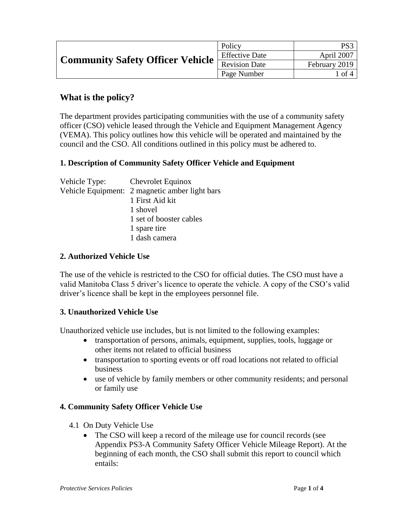| Community Safety Officer Vehicle Encourse Date | Policy                | PS3           |
|------------------------------------------------|-----------------------|---------------|
|                                                | <b>Effective Date</b> | April 2007    |
|                                                |                       | February 2019 |
|                                                | Page Number           | 1 of 4        |

# **What is the policy?**

The department provides participating communities with the use of a community safety officer (CSO) vehicle leased through the Vehicle and Equipment Management Agency (VEMA). This policy outlines how this vehicle will be operated and maintained by the council and the CSO. All conditions outlined in this policy must be adhered to.

## **1. Description of Community Safety Officer Vehicle and Equipment**

| Vehicle Type: Chevrolet Equinox |                                                |
|---------------------------------|------------------------------------------------|
|                                 | Vehicle Equipment: 2 magnetic amber light bars |
|                                 | 1 First Aid kit                                |
|                                 | 1 shovel                                       |
|                                 | 1 set of booster cables                        |
|                                 | 1 spare tire                                   |
|                                 | 1 dash camera                                  |
|                                 |                                                |

#### **2. Authorized Vehicle Use**

The use of the vehicle is restricted to the CSO for official duties. The CSO must have a valid Manitoba Class 5 driver's licence to operate the vehicle. A copy of the CSO's valid driver's licence shall be kept in the employees personnel file.

#### **3. Unauthorized Vehicle Use**

Unauthorized vehicle use includes, but is not limited to the following examples:

- transportation of persons, animals, equipment, supplies, tools, luggage or other items not related to official business
- transportation to sporting events or off road locations not related to official business
- use of vehicle by family members or other community residents; and personal or family use

#### **4. Community Safety Officer Vehicle Use**

- 4.1 On Duty Vehicle Use
	- The CSO will keep a record of the mileage use for council records (see Appendix PS3-A Community Safety Officer Vehicle Mileage Report). At the beginning of each month, the CSO shall submit this report to council which entails: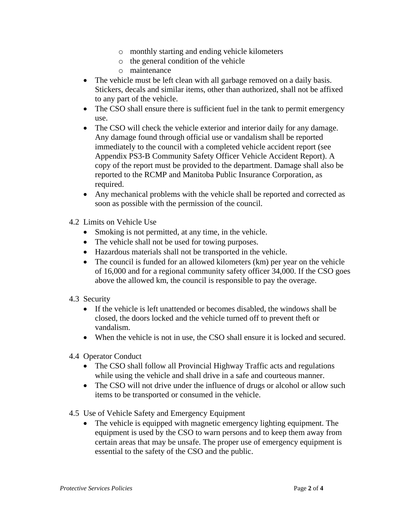- o monthly starting and ending vehicle kilometers
- o the general condition of the vehicle
- o maintenance
- The vehicle must be left clean with all garbage removed on a daily basis. Stickers, decals and similar items, other than authorized, shall not be affixed to any part of the vehicle.
- The CSO shall ensure there is sufficient fuel in the tank to permit emergency use.
- The CSO will check the vehicle exterior and interior daily for any damage. Any damage found through official use or vandalism shall be reported immediately to the council with a completed vehicle accident report (see Appendix PS3-B Community Safety Officer Vehicle Accident Report). A copy of the report must be provided to the department. Damage shall also be reported to the RCMP and Manitoba Public Insurance Corporation, as required.
- Any mechanical problems with the vehicle shall be reported and corrected as soon as possible with the permission of the council.
- 4.2 Limits on Vehicle Use
	- Smoking is not permitted, at any time, in the vehicle.
	- The vehicle shall not be used for towing purposes.
	- Hazardous materials shall not be transported in the vehicle.
	- The council is funded for an allowed kilometers (km) per year on the vehicle of 16,000 and for a regional community safety officer 34,000. If the CSO goes above the allowed km, the council is responsible to pay the overage.
- 4.3 Security
	- If the vehicle is left unattended or becomes disabled, the windows shall be closed, the doors locked and the vehicle turned off to prevent theft or vandalism.
	- When the vehicle is not in use, the CSO shall ensure it is locked and secured.
- 4.4 Operator Conduct
	- The CSO shall follow all Provincial Highway Traffic acts and regulations while using the vehicle and shall drive in a safe and courteous manner.
	- The CSO will not drive under the influence of drugs or alcohol or allow such items to be transported or consumed in the vehicle.
- 4.5 Use of Vehicle Safety and Emergency Equipment
	- The vehicle is equipped with magnetic emergency lighting equipment. The equipment is used by the CSO to warn persons and to keep them away from certain areas that may be unsafe. The proper use of emergency equipment is essential to the safety of the CSO and the public.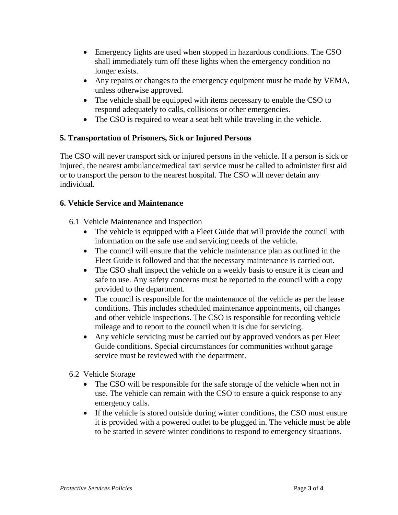- Emergency lights are used when stopped in hazardous conditions. The CSO shall immediately turn off these lights when the emergency condition no longer exists.
- Any repairs or changes to the emergency equipment must be made by VEMA, unless otherwise approved.
- The vehicle shall be equipped with items necessary to enable the CSO to respond adequately to calls, collisions or other emergencies.
- The CSO is required to wear a seat belt while traveling in the vehicle.

## **5. Transportation of Prisoners, Sick or Injured Persons**

The CSO will never transport sick or injured persons in the vehicle. If a person is sick or injured, the nearest ambulance/medical taxi service must be called to administer first aid or to transport the person to the nearest hospital. The CSO will never detain any individual.

## **6. Vehicle Service and Maintenance**

- 6.1 Vehicle Maintenance and Inspection
	- The vehicle is equipped with a Fleet Guide that will provide the council with information on the safe use and servicing needs of the vehicle.
	- The council will ensure that the vehicle maintenance plan as outlined in the Fleet Guide is followed and that the necessary maintenance is carried out.
	- The CSO shall inspect the vehicle on a weekly basis to ensure it is clean and safe to use. Any safety concerns must be reported to the council with a copy provided to the department.
	- The council is responsible for the maintenance of the vehicle as per the lease conditions. This includes scheduled maintenance appointments, oil changes and other vehicle inspections. The CSO is responsible for recording vehicle mileage and to report to the council when it is due for servicing.
	- Any vehicle servicing must be carried out by approved vendors as per Fleet Guide conditions. Special circumstances for communities without garage service must be reviewed with the department.
- 6.2 Vehicle Storage
	- The CSO will be responsible for the safe storage of the vehicle when not in use. The vehicle can remain with the CSO to ensure a quick response to any emergency calls.
	- If the vehicle is stored outside during winter conditions, the CSO must ensure it is provided with a powered outlet to be plugged in. The vehicle must be able to be started in severe winter conditions to respond to emergency situations.